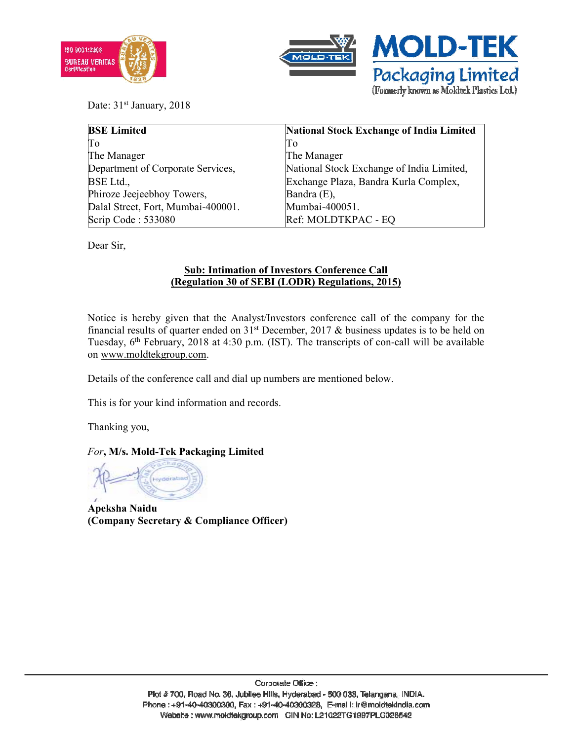



Date: 31<sup>st</sup> January, 2018

| <b>BSE Limited</b>                 | <b>National Stock Exchange of India Limited</b> |
|------------------------------------|-------------------------------------------------|
| Πo                                 | Tо                                              |
| The Manager                        | The Manager                                     |
| Department of Corporate Services,  | National Stock Exchange of India Limited,       |
| <b>BSE</b> Ltd.,                   | Exchange Plaza, Bandra Kurla Complex,           |
| Phiroze Jeejeebhoy Towers,         | Bandra (E),                                     |
| Dalal Street, Fort, Mumbai-400001. | Mumbai-400051.                                  |
| Scrip Code: 533080                 | Ref: MOLDTKPAC - EQ                             |

Dear Sir,

## **Sub: Intimation of Investors Conference Call (Regulation 30 of SEBI (LODR) Regulations, 2015)**

Notice is hereby given that the Analyst/Investors conference call of the company for the financial results of quarter ended on  $31<sup>st</sup>$  December, 2017 & business updates is to be held on Tuesday, 6th February, 2018 at 4:30 p.m. (IST). The transcripts of con-call will be available on www.moldtekgroup.com.

Details of the conference call and dial up numbers are mentioned below.

This is for your kind information and records.

Thanking you,

## *For***, M/s. Mold-Tek Packaging Limited**

**Apeksha Naidu (Company Secretary & Compliance Officer)**